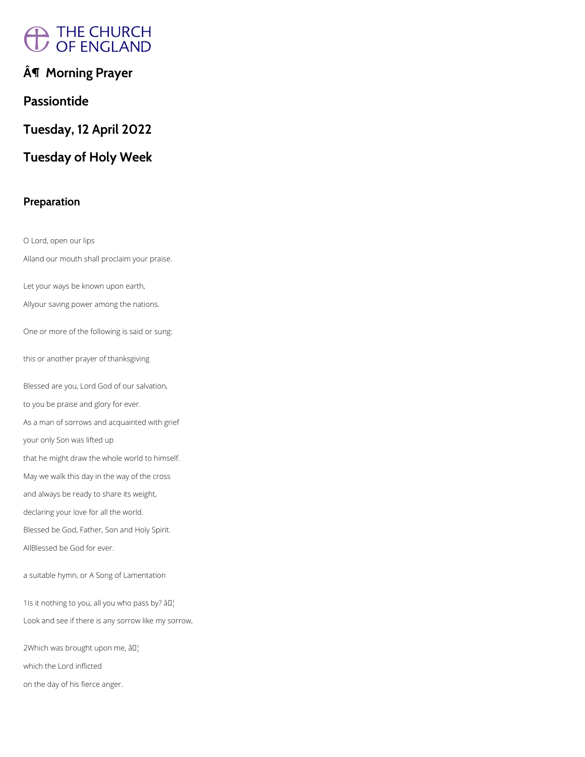# A THE CHURCH<br>/ OF ENGLAND

## **¶ Morning Prayer**

## **Passiontide**

**Tuesday, 12 April 2022**

## **Tuesday of Holy Week**

## **Preparation**

O Lord, open our lips Alland our mouth shall proclaim your praise. Let your ways be known upon earth, Allyour saving power among the nations. One or more of the following is said or sung: this or another prayer of thanksgiving Blessed are you, Lord God of our salvation, to you be praise and glory for ever. As a man of sorrows and acquainted with grief your only Son was lifted up that he might draw the whole world to himself. May we walk this day in the way of the cross and always be ready to share its weight, declaring your love for all the world. Blessed be God, Father, Son and Holy Spirit. AllBlessed be God for ever.

#### a suitable hymn, or A Song of Lamentation

1Is it nothing to you, all you who pass by?  $\partial I$ 

Look and see if there is any sorrow like my sorrow,

2Which was brought upon me, âD¦

which the Lord inflicted

on the day of his fierce anger.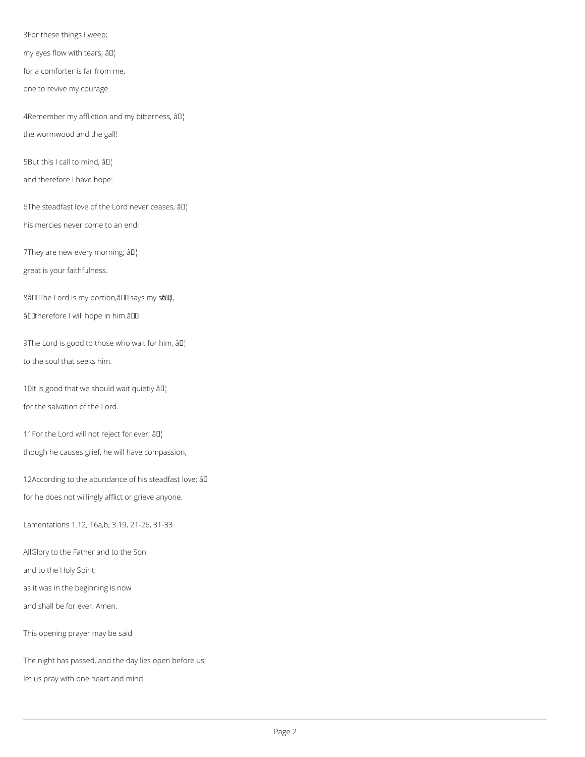3For these things I weep;

my eyes flow with tears;  $\hat{a} \Pi_1^{\dagger}$ 

for a comforter is far from me,

one to revive my courage.

4Remember my affliction and my bitterness,  $\partial D_i$ 

the wormwood and the gall!

5But this I call to mind,  $\partial \mathbb{I}^1$ 

and therefore I have hope:

6The steadfast love of the Lord never ceases,  $\partial \mathbb{I}^1_1$ 

9The Lord is good to those who wait for him,  $\partial D_i$ to the soul that seeks him.

10It is good that we should wait quietly âD!

his mercies never come to an end;

7They are new every morning;  $\partial \mathbb{I}^1$ 

great is your faithfulness.

8âDOThe Lord is my portion, âDO says my sâDu!,

âDDtherefore I will hope in him.âDD

12According to the abundance of his steadfast love;  $\partial D_i$ for he does not willingly afflict or grieve anyone.

for the salvation of the Lord.

11For the Lord will not reject for ever;  $\hat{a} \mathbb{I}^{\dagger}$ 

though he causes grief, he will have compassion,

Lamentations 1.12, 16a,b; 3.19, 21-26, 31-33

AllGlory to the Father and to the Son

and to the Holy Spirit;

as it was in the beginning is now

and shall be for ever. Amen.

This opening prayer may be said

The night has passed, and the day lies open before us;

let us pray with one heart and mind.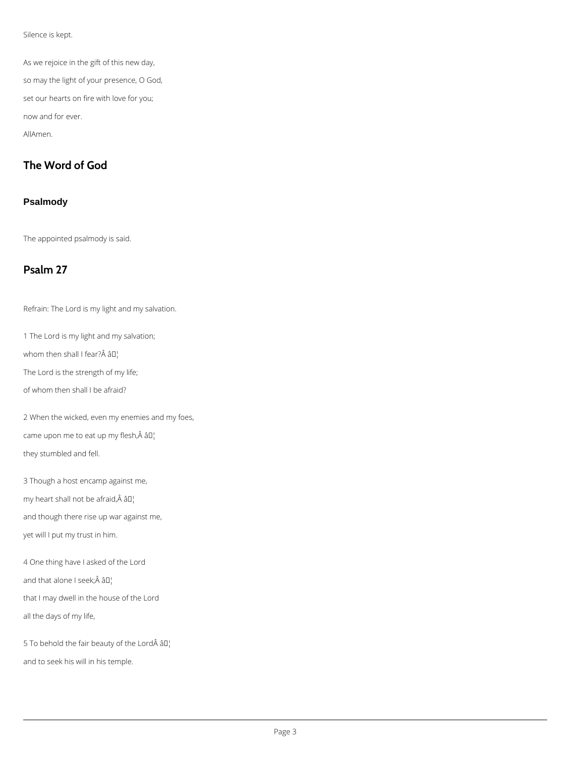Silence is kept.

As we rejoice in the gift of this new day, so may the light of your presence, O God, set our hearts on fire with love for you; now and for ever. AllAmen.

## **The Word of God**

#### **Psalmody**

The appointed psalmody is said.

## **Psalm 27**

Refrain: The Lord is my light and my salvation.

1 The Lord is my light and my salvation;

whom then shall I fear? $\hat{A}$   $\hat{a}$  $\Box$ 

The Lord is the strength of my life;

of whom then shall I be afraid?

2 When the wicked, even my enemies and my foes, came upon me to eat up my flesh, $\hat{A}$  â $\Box$ they stumbled and fell.

3 Though a host encamp against me, my heart shall not be afraid, $\hat{A}$  â $\Box$ and though there rise up war against me, yet will I put my trust in him.

4 One thing have I asked of the Lord

and that alone I seek; $\hat{A}$  â $\Pi_1^{\dagger}$ 

that I may dwell in the house of the Lord

all the days of my life,

5 To behold the fair beauty of the Lord $\hat{A}$  â $\Box$ 

and to seek his will in his temple.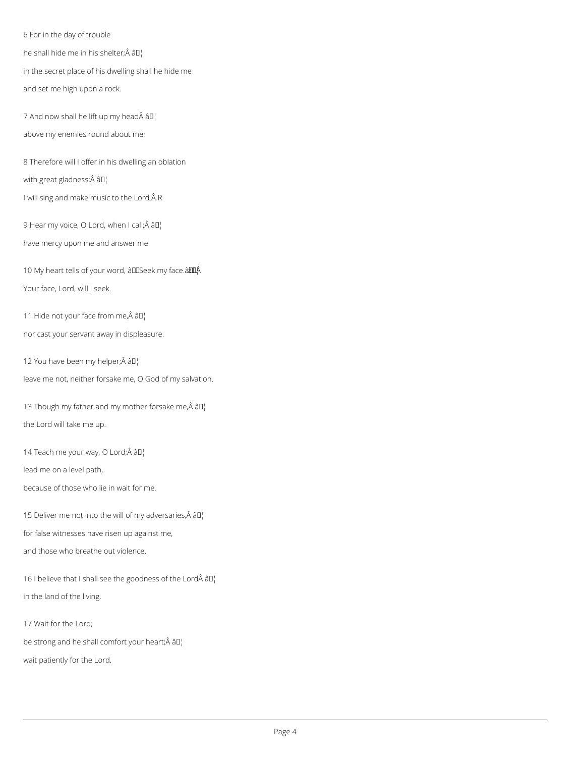6 For in the day of trouble

he shall hide me in his shelter; $\hat{A}$  â $\Box$ 

in the secret place of his dwelling shall he hide me

7 And now shall he lift up my head  $\hat{A}$   $\hat{a}$   $I$ <sup>1</sup> above my enemies round about me;

and set me high upon a rock.

8 Therefore will I offer in his dwelling an oblation

with great gladness; Â â []

I will sing and make music to the Lord. Â R

9 Hear my voice, O Lord, when I call; $\hat{A}$  â $\Box$ 

13 Though my father and my mother forsake me, $\hat{A}$  â $I$ <sup>1</sup> the Lord will take me up.

14 Teach me your way, O Lord;Â âD¦

have mercy upon me and answer me.

10 My heart tells of your word, âDDSeek my face. â EDA Your face, Lord, will I seek.

11 Hide not your face from me, $\hat{A}$  â $\Box$ 

nor cast your servant away in displeasure.

12 You have been my helper; $\hat{A}$  â $I$ ]

leave me not, neither forsake me, O God of my salvation.

lead me on a level path,

because of those who lie in wait for me.

15 Deliver me not into the will of my adversaries, $\hat{A}$  â $I_I^{\dagger}$ 

for false witnesses have risen up against me,

and those who breathe out violence.

16 I believe that I shall see the goodness of the Lord $\hat{A}$   $\hat{a}$  $\Gamma$ 

in the land of the living.

17 Wait for the Lord;

be strong and he shall comfort your heart; $\hat{A}$  â $I$ <sup>1</sup>

wait patiently for the Lord.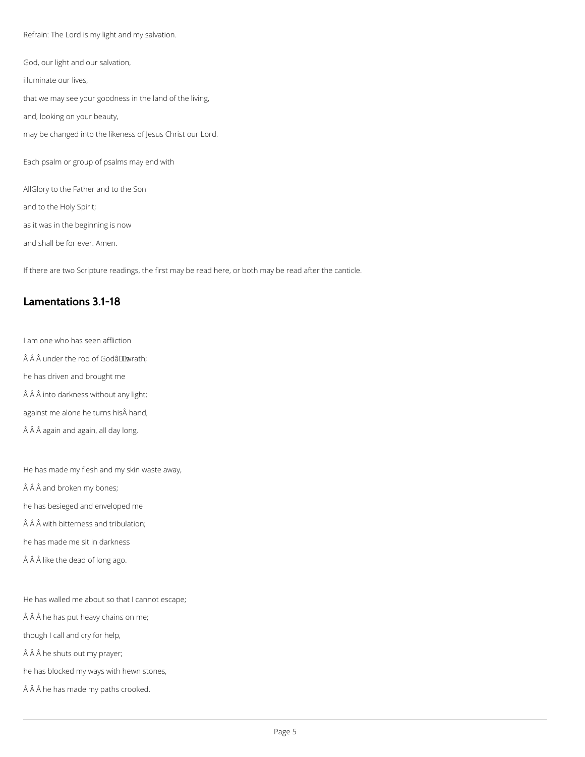Refrain: The Lord is my light and my salvation.

God, our light and our salvation, illuminate our lives, that we may see your goodness in the land of the living, and, looking on your beauty, may be changed into the likeness of Jesus Christ our Lord. Each psalm or group of psalms may end with AllGlory to the Father and to the Son and to the Holy Spirit; as it was in the beginning is now and shall be for ever. Amen.

- I am one who has seen affliction
- $\hat{A}$   $\hat{A}$  a under the rod of Godâl Lowrath;
- he has driven and brought me
- $\hat{A}$   $\hat{A}$  into darkness without any light;
- against me alone he turns his hand,
- Â Â again and again, all day long.

If there are two Scripture readings, the first may be read here, or both may be read after the canticle.

## **Lamentations 3.1-18**

He has made my flesh and my skin waste away,

- $\hat{A}$   $\hat{A}$  and broken my bones;
- he has besieged and enveloped me
- $\hat{A}$   $\hat{A}$   $\hat{A}$  with bitterness and tribulation;
- he has made me sit in darkness
- $\hat{A}$   $\hat{A}$  like the dead of long ago.

He has walled me about so that I cannot escape;

 $\hat{A}$   $\hat{A}$  he has put heavy chains on me;

though I call and cry for help,

Â Â he shuts out my prayer;

he has blocked my ways with hewn stones,

Â ĥe has made my paths crooked.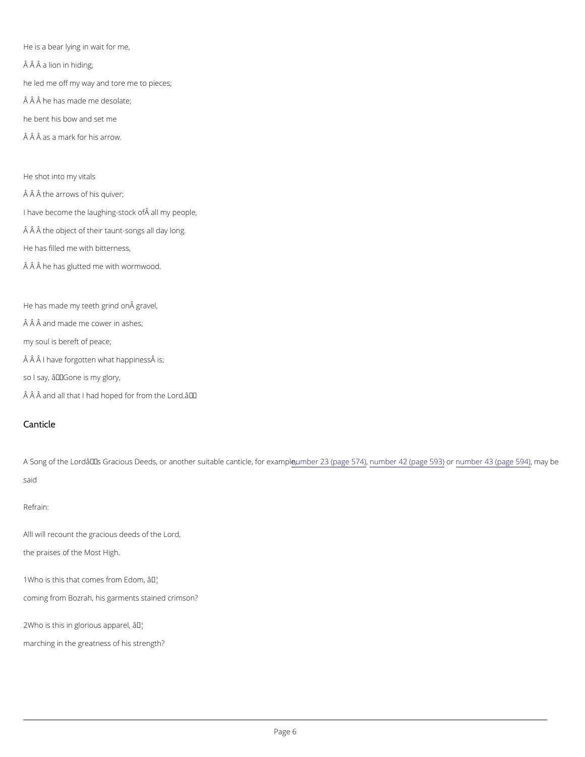He is a bear lying in wait for me,  $\hat{A}$   $\hat{A}$   $\hat{A}$  a lion in hiding; he led me off my way and tore me to pieces;  $\hat{A}$   $\hat{A}$  he has made me desolate; he bent his bow and set me  $\hat{A}$   $\hat{A}$   $\hat{A}$  as a mark for his arrow.

He shot into my vitals  $\hat{A}$   $\hat{A}$  the arrows of his quiver; I have become the laughing-stock of all my people,  $\hat{A}$   $\hat{A}$  the object of their taunt-songs all day long. He has filled me with bitterness,  $\hat{A}$   $\hat{A}$  he has glutted me with wormwood.

He has made my teeth grind on gravel,  $\hat{A}$   $\hat{A}$  and made me cower in ashes; my soul is bereft of peace;  $\hat{A}$   $\hat{A}$   $\hat{A}$  I have forgotten what happiness $\hat{A}$  is; so I say, â€~Gone is my glory,

 $\hat{A}$   $\hat{A}$  and all that I had hoped of  $\hat{B}$   $\hat{F}^M$  from the

A Song of the Lord's Gracious Deeds, or anoth**er nshetra ba Be (op angheuo 6164) fo4r**2 e (xpaamgoppenheo5,6n3b)er 43 (pagen 5594b) e said

#### Canticle

#### Refrain:

All will recount the gracious deeds of the Lord,

the praises of the Most High.

 $1W$ ho is this that comes  $\hat{a}$   $\hat{f}$   $\hat{f}$   $\hat{f}$   $\hat{f}$   $\hat{f}$   $\hat{f}$   $\hat{f}$   $\hat{f}$ 

coming from Bozrah, his garments stained crimson?

 $2W$  ho is this in glorio  $\hat{u}$  all  $\hat{v}$  apparel,

marching in the greatness of his strength?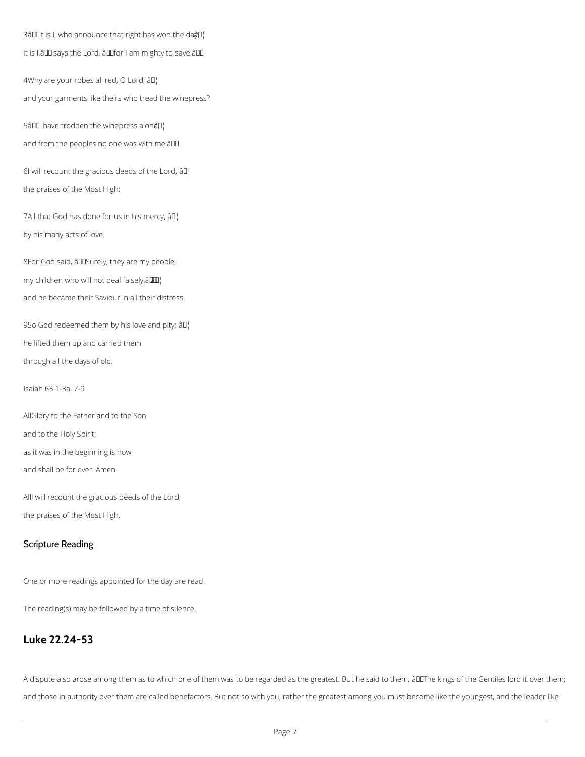$3$ â $\Box$ It is I, who announce that right has won the da $\hat{\mathfrak{g}}\Box$ 

it is I, â U says the Lord, â U for I am mighty to save. â U

4Why are your robes all red, O Lord,  $\partial L$ and your garments like theirs who tread the winepress?

5â $\Box$  have trodden the winepress alonê $\Box$ 

and from the peoples no one was with me.âDD

6I will recount the gracious deeds of the Lord,  $\partial \mathbb{I}^1$ the praises of the Most High;

7All that God has done for us in his mercy,  $\partial \mathbb{I}^1$ by his many acts of love.

8For God said, âDDSurely, they are my people, my children who will not deal falsely, $\left\{ \mathbf{a}\mathbf{I}\right\}$ and he became their Saviour in all their distress.

9So God redeemed them by his love and pity;  $\partial \mathbb{I}^1$ he lifted them up and carried them through all the days of old.

Isaiah 63.1-3a, 7-9

AllGlory to the Father and to the Son and to the Holy Spirit; as it was in the beginning is now

and shall be for ever. Amen.

AllI will recount the gracious deeds of the Lord,

the praises of the Most High.

## Scripture Reading

One or more readings appointed for the day are read.

The reading(s) may be followed by a time of silence.

#### **Luke 22.24-53**

A dispute also arose among them as to which one of them was to be regarded as the greatest. But he said to them, âDIThe kings of the Gentiles lord it over them;

and those in authority over them are called benefactors. But not so with you; rather the greatest among you must become like the youngest, and the leader like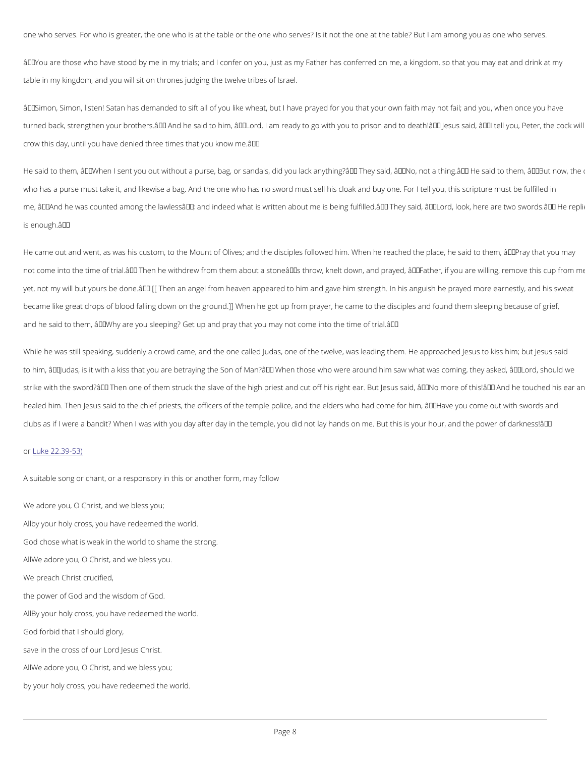one who serves. For who is greater, the one who is at the table or the one who serves? Is it not the one

â€~You are those who have stood by me in my trials; and I confer on you, just as my Father has conferre table in my kingdom, and you will sit on thrones judging the twelve tribes of Israel.

 $\hat{a} \in \tilde{S}$ imon, Simon, listen! Satan has demanded to sift all of you like wheat, but I have prayed for you tha turned back, strengthen your brothers.' And he said to him, â€~Lord, I am ready to go with you to pri crow this day, until you have denied three times that you know me.  $\hat{a} \in \text{TM}$ 

He said to them,  $\hat{a} \in \tilde{N}$  when I sent you out without a purse, bag, or sandals, did you lack anything? $\hat{a} \in \tilde{N}$  Th who has a purse must take it, and likewise a bag. And the one who has no sword must sell his cloak and me,  $\hat{a} \in \infty$  And he was counted among the lawless $\hat{a} \in \cdot$ ; and indeed what is written about me is being fulfille is enough.'

He came out and went, as was his custom, to the Mount of Olives; and the disciples followed him. When not come into the time of trial. $\hat{a} \in \text{Im}$  Then he withdrew from them about a stone $\hat{a} \in \text{Im}$ s throw, knelt down, a yet, not my will but yours be done. $\hat{a} \in \mathbb{M}$  [[Then an angel from heaven appeared to him and gave him stre became like great drops of blood falling down on the ground.]] When he got up from prayer, he came to t and he said to them, â€~Why are you sleeping? Get up and pray that you may not come into the time of t

While he was still speaking, suddenly a crowd came, and the one called Judas, one of the twelve, was le to him, â€~Judas, is it with a kiss that you are betraying the Son of Man?' When those who were arou strike with the sword? $\hat{a} \in \mathbb{M}$  Then one of them struck the slave of the high priest and cut off his right ear. healed him. Then Jesus said to the chief priests, the officers of the temple police, and the elders who h clubs as if I were a bandit? When I was with you day after day in the temple, you did not lay hands on m

#### o[r Luke 22.3](https://bible.oremus.org/?show_adj=no&vnum=no&fnote=no&version=nrsvae&passage=Luke+22.39-53))9 - 53)

We adore you, O Christ, and we bless you; Aby your holy cross, you have redeemed the world. God chose what is weak in the world to shame the strong. A M e adore you, O Christ, and we bless you.

A suitable song or chant, or a responsory in this or another form, may follow

We preach Christ crucified,

the power of God and the wisdom of God.

ABy your holy cross, you have redeemed the world.

God forbid that I should glory,

save in the cross of our Lord Jesus Christ.

AMe adore you, O Christ, and we bless you;

by your holy cross, you have redeemed the world.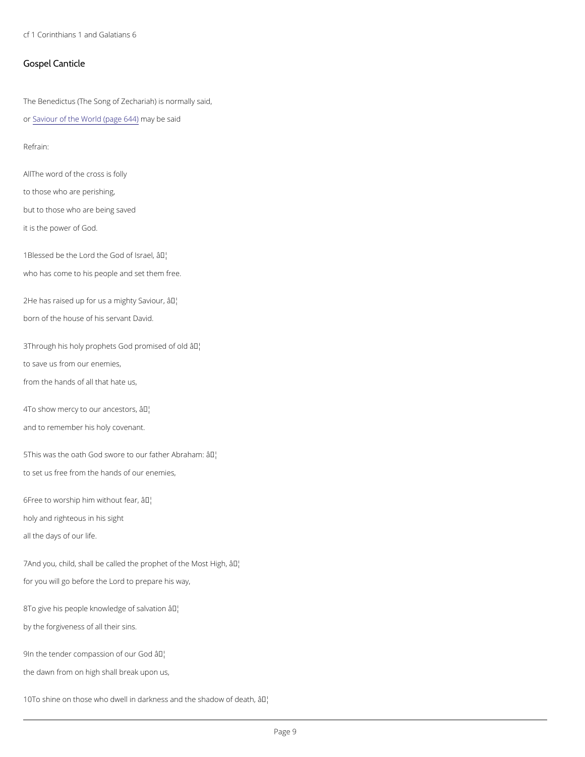cf 1 Corinthians 1 and Galatians 6

#### Gospel Canticle

The Benedictus (The Song of Zechariah) is normally said,

#### o[r Saviour of the World](https://cwdp.oremus.org//canticles/othercanticles/87.html) m(page be 6s4a4i)d

All The word of the cross is folly to those who are perishing, but to those who are being saved it is the power of God.

Refrain:

1Blessed be the Lord the  $\partial \mathcal{F}$ bd of Israel, who has come to his people and set them free.

 $2He$  has raised up for us a  $an$ Mghty Saviour, born of the house of his servant David.

3Through his holy prophets Godap<sup>th</sup>bmised of old to save us from our enemies,

4To show mercy to ourâ  $\frac{1}{2}$  of  $\frac{1}{2}$  cestors, and to remember his holy covenant.

 $5$ This was the oath God swore to o $\hat{a}$   $\overline{f}$ M father Abraham: to set us free from the hands of our enemies,

 $6$ Free to worship him wait M<sub>io</sub>ut fear, holy and righteous in his sight all the days of our life.

7And you, child, shall be called the proap Met of the Most High,

from the hands of all that hate us,

for you will go before the Lord to prepare his way,

8To give his people knowled& Jelof salvation

by the forgiveness of all their sins.

9In the tender compassion Tholf our God

the dawn from on high shall break upon us,

10To shine on those who dwell in darkness a the thadow of death,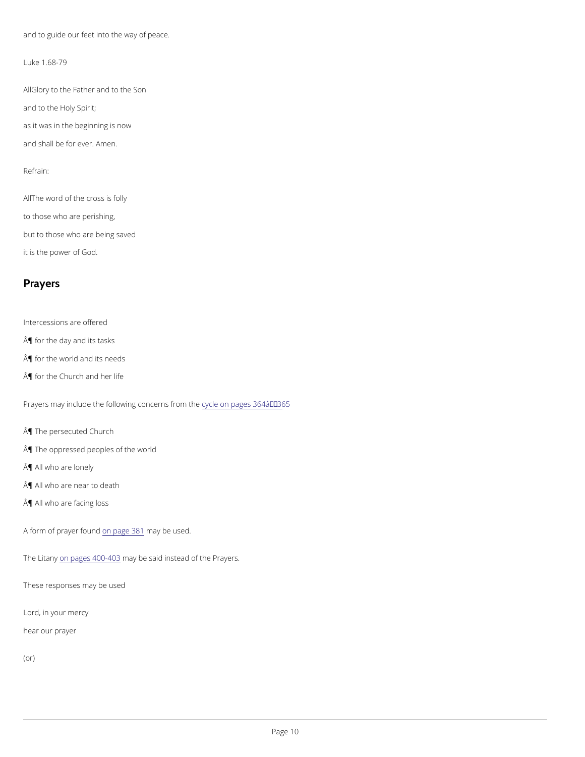and to guide our feet into the way of peace.

Luke 1.68-79

AlGlory to the Father and to the Son and to the Holy Spirit; as it was in the beginning is now and shall be for ever. Amen.

All The word of the cross is folly to those who are perishing, but to those who are being saved it is the power of God.

Refrain:

### Prayers

Intercessions are offered

¶ for the day and its tasks

¶ for the world and its needs

¶ for the Church and her life

Prayers may include the following cycle cem pages 364  $a \in 365$ 

¶ The persecuted Church

¶ The oppressed peoples of the world

¶ All who are lonely

¶ All who are near to death

¶ All who are facing loss

A form of prayeorn fpagel 8n&a1y be used.

The Litamy pages  $40$   $0.49$   $0.3$  be said instead of the Prayers.



These responses may be used

Lord, in your mercy

hear our prayer

(or)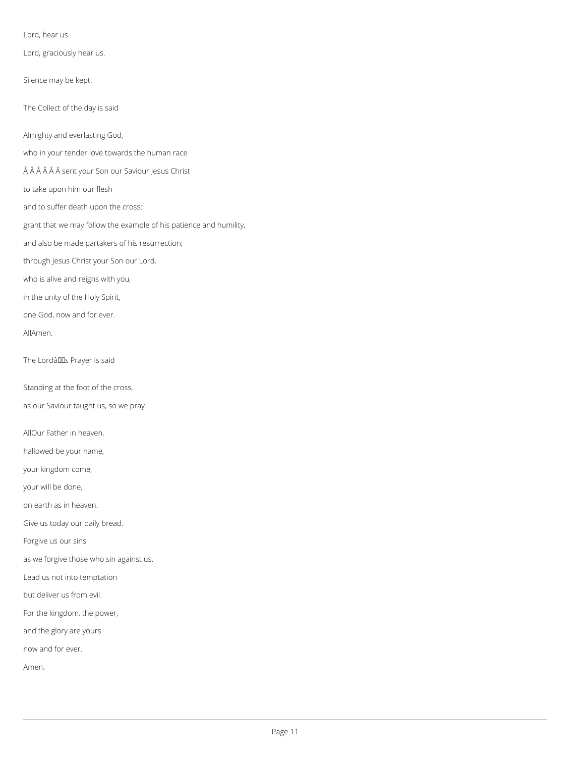Lord, hear us.

Lord, graciously hear us.

Silence may be kept.

The Collect of the day is said

Almighty and everlasting God,

who in your tender love towards the human race

Â Â Â Â Sent your Son our Saviour Jesus Christ

to take upon him our flesh

and to suffer death upon the cross:

grant that we may follow the example of his patience and humility,

and also be made partakers of his resurrection;

through Jesus Christ your Son our Lord,

who is alive and reigns with you,

in the unity of the Holy Spirit,

one God, now and for ever.

AllAmen.

The Lordâllas Prayer is said

Standing at the foot of the cross,

as our Saviour taught us, so we pray

AllOur Father in heaven,

hallowed be your name,

your kingdom come,

your will be done,

on earth as in heaven.

Give us today our daily bread.

Forgive us our sins

as we forgive those who sin against us.

Lead us not into temptation

but deliver us from evil.

For the kingdom, the power,

and the glory are yours

now and for ever.

Amen.